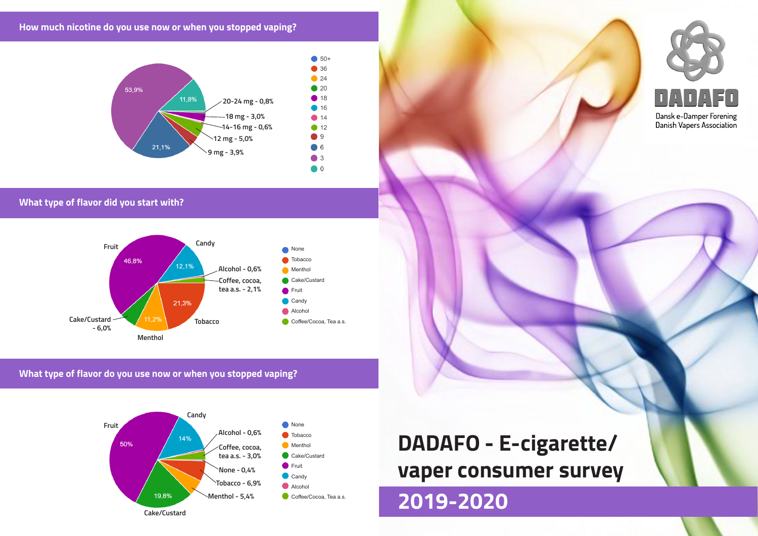**How much nicotine do you use now or when you stopped vaping?**



**What type of flavor did you start with?**



### **What type of flavor do you use now or when you stopped vaping?**



# **DADAFO - E-cigarette/ vaper consumer survey**

## **2019-2020**



Danish Vapers Association